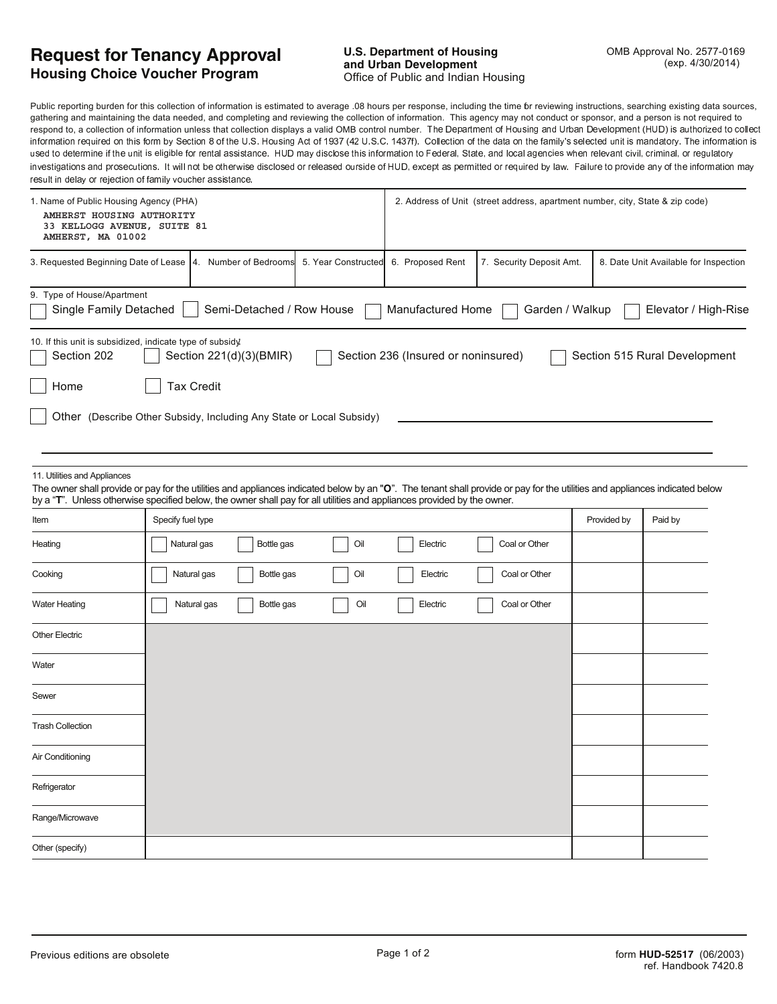## **Request for Tenancy Approval Housing Choice Voucher Program**

Public reporting burden for this collection of information is estimated to average .08 hours per response, including the time for reviewing instructions, searching existing data sources, gathering and maintaining the data needed, and completing and reviewing the collection of information. This agency may not conduct or sponsor, and a person is not required to respond to, a collection of information unless that collection displays a valid OMB control number. The Department of Housing and Urban Development (HUD) is authorized to collect information required on this form by Section 8 of the U.S. Housing Act of 1937 (42 U.S.C. 1437f). Collection of the data on the family's selected unit is mandatory. The information is used to determine if the unit is eligible for rental assistance. HUD may disclose this information to Federal, State, and local agencies when relevant civil, criminal, or regulatory investigations and prosecutions. It will not be otherwise disclosed or released ourside of HUD, except as permitted or required by law. Failure to provide any of the information may roquit in dolou or rojection of family vougher cooletane

| result in delay or rejection or railing voucher assistance.                                                                                                                                                                                                                                                                            |                   |                         |                                                                               |                           |                                     |                          |             |                                       |
|----------------------------------------------------------------------------------------------------------------------------------------------------------------------------------------------------------------------------------------------------------------------------------------------------------------------------------------|-------------------|-------------------------|-------------------------------------------------------------------------------|---------------------------|-------------------------------------|--------------------------|-------------|---------------------------------------|
| 1. Name of Public Housing Agency (PHA)<br>AMHERST HOUSING AUTHORITY<br>33 KELLOGG AVENUE, SUITE 81<br>AMHERST, MA 01002                                                                                                                                                                                                                |                   |                         | 2. Address of Unit (street address, apartment number, city, State & zip code) |                           |                                     |                          |             |                                       |
| 3. Requested Beginning Date of Lease   4.                                                                                                                                                                                                                                                                                              |                   |                         | Number of Bedrooms                                                            | 5. Year Constructed       | 6. Proposed Rent                    | 7. Security Deposit Amt. |             | 8. Date Unit Available for Inspection |
| 9. Type of House/Apartment<br>Single Family Detached                                                                                                                                                                                                                                                                                   |                   |                         |                                                                               | Semi-Detached / Row House | Manufactured Home                   | Garden / Walkup          |             | Elevator / High-Rise                  |
| 10. If this unit is subsidized, indicate type of subsidy.                                                                                                                                                                                                                                                                              |                   |                         |                                                                               |                           |                                     |                          |             |                                       |
| Section 202                                                                                                                                                                                                                                                                                                                            |                   | Section 221(d)(3)(BMIR) |                                                                               |                           | Section 236 (Insured or noninsured) |                          |             | Section 515 Rural Development         |
| Home                                                                                                                                                                                                                                                                                                                                   |                   | <b>Tax Credit</b>       |                                                                               |                           |                                     |                          |             |                                       |
| Other (Describe Other Subsidy, Including Any State or Local Subsidy)                                                                                                                                                                                                                                                                   |                   |                         |                                                                               |                           |                                     |                          |             |                                       |
|                                                                                                                                                                                                                                                                                                                                        |                   |                         |                                                                               |                           |                                     |                          |             |                                       |
| 11. Utilities and Appliances<br>The owner shall provide or pay for the utilities and appliances indicated below by an "O". The tenant shall provide or pay for the utilities and appliances indicated below<br>by a "T". Unless otherwise specified below, the owner shall pay for all utilities and appliances provided by the owner. |                   |                         |                                                                               |                           |                                     |                          |             |                                       |
| Item                                                                                                                                                                                                                                                                                                                                   | Specify fuel type |                         |                                                                               |                           |                                     |                          | Provided by | Paid by                               |
| Heating                                                                                                                                                                                                                                                                                                                                |                   | Natural gas             | Bottle gas                                                                    | Oil                       | Electric                            | Coal or Other            |             |                                       |
| Cooking                                                                                                                                                                                                                                                                                                                                |                   | Natural gas             | Bottle gas                                                                    | Oil                       | Electric                            | Coal or Other            |             |                                       |
| <b>Water Heating</b>                                                                                                                                                                                                                                                                                                                   |                   | Natural gas             | Bottle gas                                                                    | Oil                       | Electric                            | Coal or Other            |             |                                       |
| <b>Other Electric</b>                                                                                                                                                                                                                                                                                                                  |                   |                         |                                                                               |                           |                                     |                          |             |                                       |
| Water                                                                                                                                                                                                                                                                                                                                  |                   |                         |                                                                               |                           |                                     |                          |             |                                       |
| Sewer                                                                                                                                                                                                                                                                                                                                  |                   |                         |                                                                               |                           |                                     |                          |             |                                       |
| <b>Trash Collection</b>                                                                                                                                                                                                                                                                                                                |                   |                         |                                                                               |                           |                                     |                          |             |                                       |
| Air Conditioning                                                                                                                                                                                                                                                                                                                       |                   |                         |                                                                               |                           |                                     |                          |             |                                       |
| Refrigerator                                                                                                                                                                                                                                                                                                                           |                   |                         |                                                                               |                           |                                     |                          |             |                                       |
| Range/Microwave                                                                                                                                                                                                                                                                                                                        |                   |                         |                                                                               |                           |                                     |                          |             |                                       |
| Other (specify)                                                                                                                                                                                                                                                                                                                        |                   |                         |                                                                               |                           |                                     |                          |             |                                       |